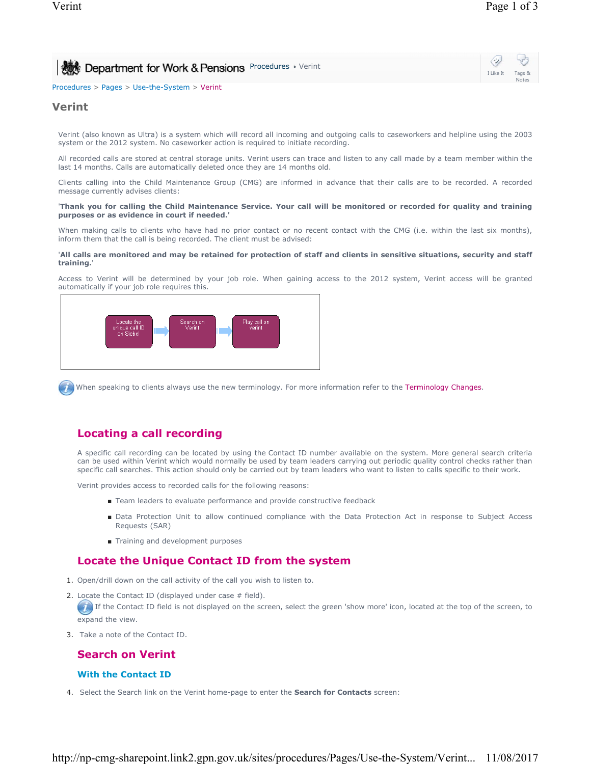| Department for Work & Pensions Procedures > Verint | $\ddot{\circ}$   |       |
|----------------------------------------------------|------------------|-------|
|                                                    | I Like It Tags & | Notes |
| Procedures > Pages > Use-the-System > Verint       |                  |       |

## **Verint**

Verint (also known as Ultra) is a system which will record all incoming and outgoing calls to caseworkers and helpline using the 2003 system or the 2012 system. No caseworker action is required to initiate recording.

All recorded calls are stored at central storage units. Verint users can trace and listen to any call made by a team member within the last 14 months. Calls are automatically deleted once they are 14 months old.

Clients calling into the Child Maintenance Group (CMG) are informed in advance that their calls are to be recorded. A recorded message currently advises clients:

#### '**Thank you for calling the Child Maintenance Service. Your call will be monitored or recorded for quality and training purposes or as evidence in court if needed.'**

When making calls to clients who have had no prior contact or no recent contact with the CMG (i.e. within the last six months), inform them that the call is being recorded. The client must be advised:

#### '**All calls are monitored and may be retained for protection of staff and clients in sensitive situations, security and staff training.**'

Access to Verint will be determined by your job role. When gaining access to the 2012 system, Verint access will be granted automatically if your job role requires this.



When speaking to clients always use the new terminology. For more information refer to the Terminology Changes.

# **Locating a call recording**

A specific call recording can be located by using the Contact ID number available on the system. More general search criteria can be used within Verint which would normally be used by team leaders carrying out periodic quality control checks rather than specific call searches. This action should only be carried out by team leaders who want to listen to calls specific to their work.

Verint provides access to recorded calls for the following reasons:

- Team leaders to evaluate performance and provide constructive feedback
- Data Protection Unit to allow continued compliance with the Data Protection Act in response to Subject Access Requests (SAR)
- Training and development purposes

## **Locate the Unique Contact ID from the system**

- 1. Open/drill down on the call activity of the call you wish to listen to.
- 2. Locate the Contact ID (displayed under case # field).

 $\Box$  If the Contact ID field is not displayed on the screen, select the green 'show more' icon, located at the top of the screen, to expand the view.

3. Take a note of the Contact ID.

## **Search on Verint**

### **With the Contact ID**

4. Select the Search link on the Verint home-page to enter the **Search for Contacts** screen: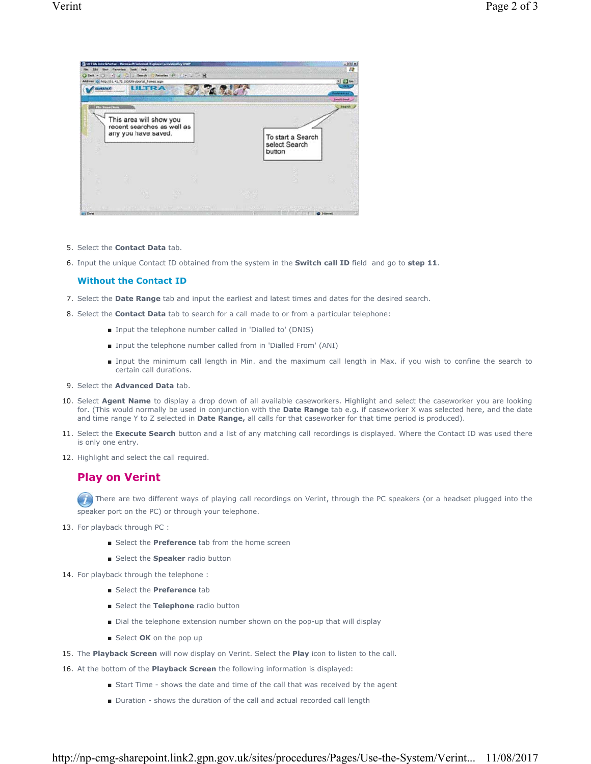

- 5. Select the **Contact Data** tab.
- 6. Input the unique Contact ID obtained from the system in the **Switch call ID** field and go to **step 11**.

### **Without the Contact ID**

- 7. Select the **Date Range** tab and input the earliest and latest times and dates for the desired search.
- 8. Select the **Contact Data** tab to search for a call made to or from a particular telephone:
	- Input the telephone number called in 'Dialled to' (DNIS)
	- Input the telephone number called from in 'Dialled From' (ANI)
	- Input the minimum call length in Min. and the maximum call length in Max. if you wish to confine the search to certain call durations.
- 9. Select the **Advanced Data** tab.
- 10. Select Agent Name to display a drop down of all available caseworkers. Highlight and select the caseworker you are looking for. (This would normally be used in conjunction with the **Date Range** tab e.g. if caseworker X was selected here, and the date and time range Y to Z selected in **Date Range,** all calls for that caseworker for that time period is produced).
- 11. Select the Execute Search button and a list of any matching call recordings is displayed. Where the Contact ID was used there is only one entry.
- 12. Highlight and select the call required.

## **Play on Verint**

There are two different ways of playing call recordings on Verint, through the PC speakers (or a headset plugged into the speaker port on the PC) or through your telephone.

- 13. For playback through PC :
	- Select the **Preference** tab from the home screen
	- Select the **Speaker** radio button
- 14. For playback through the telephone :
	- Select the **Preference** tab
	- Select the Telephone radio button
	- Dial the telephone extension number shown on the pop-up that will display
	- Select OK on the pop up
- 15. The **Playback Screen** will now display on Verint. Select the **Play** icon to listen to the call.
- 16. At the bottom of the **Playback Screen** the following information is displayed:
	- Start Time shows the date and time of the call that was received by the agent
	- Duration shows the duration of the call and actual recorded call length